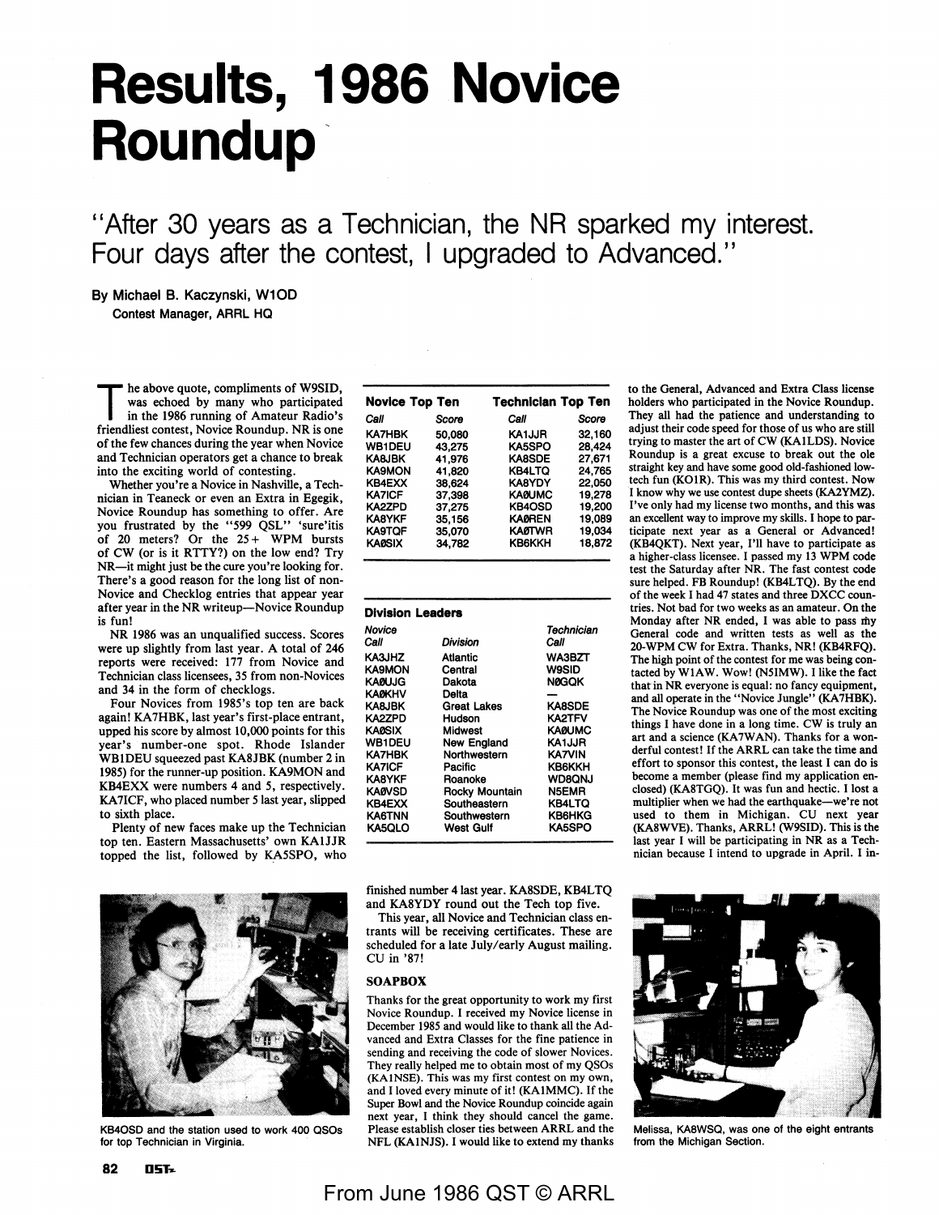# **Results, 1986 Novice Roundup**

"After 30 years as a Technician, the NR sparked my interest. Four days after the contest, I upgraded to Advanced.''

### By Michael B. Kaczynski, W10D Contest Manager, ARAL HQ

he above quote, compliments of W9SID, was echoed by many who participated in the 1986 running of Amateur Radio's friendliest contest, Novice Roundup. NR is one of the few chances during the year when Novice and Technician operators get a chance to break into the exciting world of contesting.

Whether you're a Novice in Nashville, a Technician in Teaneck or even an Extra in Egegik, Novice Roundup has something to offer. Are you frustrated by the *"599* QSL" 'sure'itis of 20 meters? Or the  $25 + WPM$  bursts of CW (or is it RTTY?) on the low end? Try NR-it might just be the cure you're looking for. There's a good reason for the long list of non-Novice and Checklog entries that appear year after year in the **NR** writeup-Novice Roundup is fun!

NR 1986 was an unqualified success. Scores were up slightly from last year. A total of 246 reports were received: 177 from Novice and Technician class licensees, 35 from non-Novices and 34 in the form of checklogs.

Four Novices from 1985's top ten are back again! KA7HBK, last year's first-place entrant, upped his score by almost 10,000 points for this year's number-one spot. Rhode Islander WBlDEU squeezed past KA8JBK (number 2 in 1985) for the runner-up position. KA9MON and **KB4EXX** were numbers 4 and *5,* respectively. KA7ICF, who placed number *5* last year, slipped to sixth place.

Plenty of new faces make up the Technician top ten. Eastern Massachusetts' own **KAlJJR**  topped the list, followed by KA5SPO, who



KB4OSD and the station used to work 400 QSOs for top Technician in Virginia.

| <b>Novice Top Ten</b> |        | <b>Technician Top Ten</b> |        |  |  |
|-----------------------|--------|---------------------------|--------|--|--|
| Call                  | Score  | Call                      | Score  |  |  |
| <b>KA7HBK</b>         | 50,080 | <b>KA1JJR</b>             | 32,160 |  |  |
| <b>WB1DEU</b>         | 43.275 | <b>KA5SPO</b>             | 28.424 |  |  |
| KA8JBK                | 41.976 | <b>KA8SDE</b>             | 27.671 |  |  |
| <b>KA9MON</b>         | 41.820 | KB4LTQ                    | 24.765 |  |  |
| <b>KB4EXX</b>         | 38,624 | <b>KA8YDY</b>             | 22,050 |  |  |
| KA7ICF                | 37.398 | KA0UMC                    | 19.278 |  |  |
| KA2ZPD                | 37,275 | KB4OSD                    | 19,200 |  |  |
| <b>KA8YKF</b>         | 35.156 | <b>KAØREN</b>             | 19.089 |  |  |
| <b>KA9TQF</b>         | 35,070 | <b>KAØTWR</b>             | 19.034 |  |  |
| <b>KAØSIX</b>         | 34.782 | <b>KB6KKH</b>             | 18.872 |  |  |

| <b>Division Leaders</b>       |                                                                 |  |  |  |  |  |  |
|-------------------------------|-----------------------------------------------------------------|--|--|--|--|--|--|
| Division                      | Technician<br>Call                                              |  |  |  |  |  |  |
| Atlantic<br>Central<br>Dakota | <b>WA3BZT</b><br><b>W9SID</b><br>NØGOK                          |  |  |  |  |  |  |
| Delta<br>Great Lakes          | <b>KA8SDE</b><br>KA2TFV                                         |  |  |  |  |  |  |
| Midwest<br>New England        | KAØUMC<br>KA1JJR<br><b>KA7VIN</b>                               |  |  |  |  |  |  |
| Pacific<br>Roanoke            | <b>KB6KKH</b><br><b>WD8ONJ</b>                                  |  |  |  |  |  |  |
| Southeastern<br>Southwestern  | <b>N5EMR</b><br><b>KB4LTO</b><br><b>KB6HKG</b><br><b>KA5SPO</b> |  |  |  |  |  |  |
|                               | Hudson<br>Northwestern<br>Rocky Mountain<br>West Gulf           |  |  |  |  |  |  |

finished number 4 last year. KA8SDE, KB4LTQ and KASYDY round out the Tech top five.

This year, all Novice and Technician class entrants will be receiving certificates. These are scheduled for a late July/early August mailing. CU in '87!

#### **SOAPBOX**

Thanks for the great opportunity to work my first Novice Roundup. I received my Novice license in December 1985 and would like to thank all the Advanced and Extra Classes for the fine patience in sending and receiving the code of slower Novices. They really helped me to obtain most of my QSOs (KAlNSE). This was my first contest on my own, and I loved every minute of it! (KAlMMC). If the Super Bowl and the Novice Roundup coincide again next year, I think they should cancel the game. Please establish closer ties between ARRL and the NFL (KAlNJS). I would like to extend my thanks

to the General, Advanced and Extra Class license holders who participated in the Novice Roundup. They all had the patience and understanding to adjust their code speed for those of us who are still trying to master the art of CW (KAlLDS). Novice Roundup is a great excuse to break out the ole straight key and have some good old-fashioned lowtech fun (KOlR). This was my third contest. Now I know why we use contest dupe sheets (KA2YMZ). I've only had my license two months, and this was an excellent way to improve my skills. I hope to participate next year as a General or Advanced! (KB4QKT). Next year, I'll have to participate as a higher-class licensee. I passed my 13 WPM code test the Saturday after NR. The fast contest code sure helped. FB Roundup! (KB4LTQ). By the end of the week I had 47 states and three DXCC countries. Not bad for two weeks as an amateur. On the Monday after NR ended, I was able to pass my General code and written tests as well as the 20-WPM CW for Extra. Thanks, NR! (KB4RFQ). The high point of the contest for me was being contacted by W1AW. Wow! (N5IMW). I like the fact that in NR everyone is equal: no fancy equipment, and all operate in the "Novice Jungle" (KA7HBK). The Novice Roundup was one of the most exciting things I have done in a long time. CW is truly an art and a science (KA7WAN). Thanks for a wonderful contest! If the ARRL can take the time and effort to sponsor this contest, the least I can do is become a member (please find my application enclosed) (KASTGQ). It was fun and hectic. I lost a multiplier when we had the earthquake-we're not used to them in Michigan. CU next **year**  (KASWVE). Thanks, ARRL! (W9SID). This is the last year I will be participating in NR as a Technician because I intend to upgrade in April. I in-



Melissa, KASWSQ, was one of the eight entrants from the Michigan Section.

## From June 1986 QST © ARRL